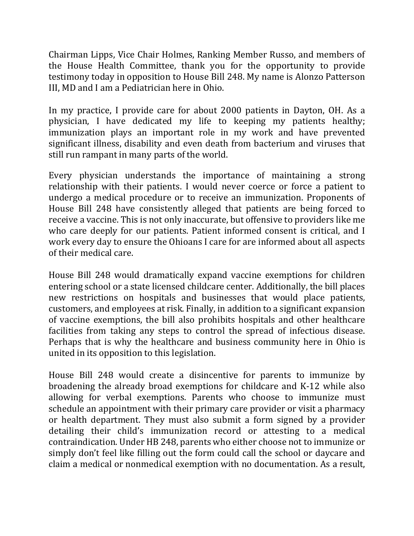Chairman Lipps, Vice Chair Holmes, Ranking Member Russo, and members of the House Health Committee, thank you for the opportunity to provide testimony today in opposition to House Bill 248. My name is Alonzo Patterson III, MD and I am a Pediatrician here in Ohio.

In my practice, I provide care for about 2000 patients in Dayton, OH. As a physician, I have dedicated my life to keeping my patients healthy; immunization plays an important role in my work and have prevented significant illness, disability and even death from bacterium and viruses that still run rampant in many parts of the world.

Every physician understands the importance of maintaining a strong relationship with their patients. I would never coerce or force a patient to undergo a medical procedure or to receive an immunization. Proponents of House Bill 248 have consistently alleged that patients are being forced to receive a vaccine. This is not only inaccurate, but offensive to providers like me who care deeply for our patients. Patient informed consent is critical, and I work every day to ensure the Ohioans I care for are informed about all aspects of their medical care.

House Bill 248 would dramatically expand vaccine exemptions for children entering school or a state licensed childcare center. Additionally, the bill places new restrictions on hospitals and businesses that would place patients, customers, and employees at risk. Finally, in addition to a significant expansion of vaccine exemptions, the bill also prohibits hospitals and other healthcare facilities from taking any steps to control the spread of infectious disease. Perhaps that is why the healthcare and business community here in Ohio is united in its opposition to this legislation.

House Bill 248 would create a disincentive for parents to immunize by broadening the already broad exemptions for childcare and K-12 while also allowing for verbal exemptions. Parents who choose to immunize must schedule an appointment with their primary care provider or visit a pharmacy or health department. They must also submit a form signed by a provider detailing their child's immunization record or attesting to a medical contraindication. Under HB 248, parents who either choose not to immunize or simply don't feel like filling out the form could call the school or daycare and claim a medical or nonmedical exemption with no documentation. As a result,